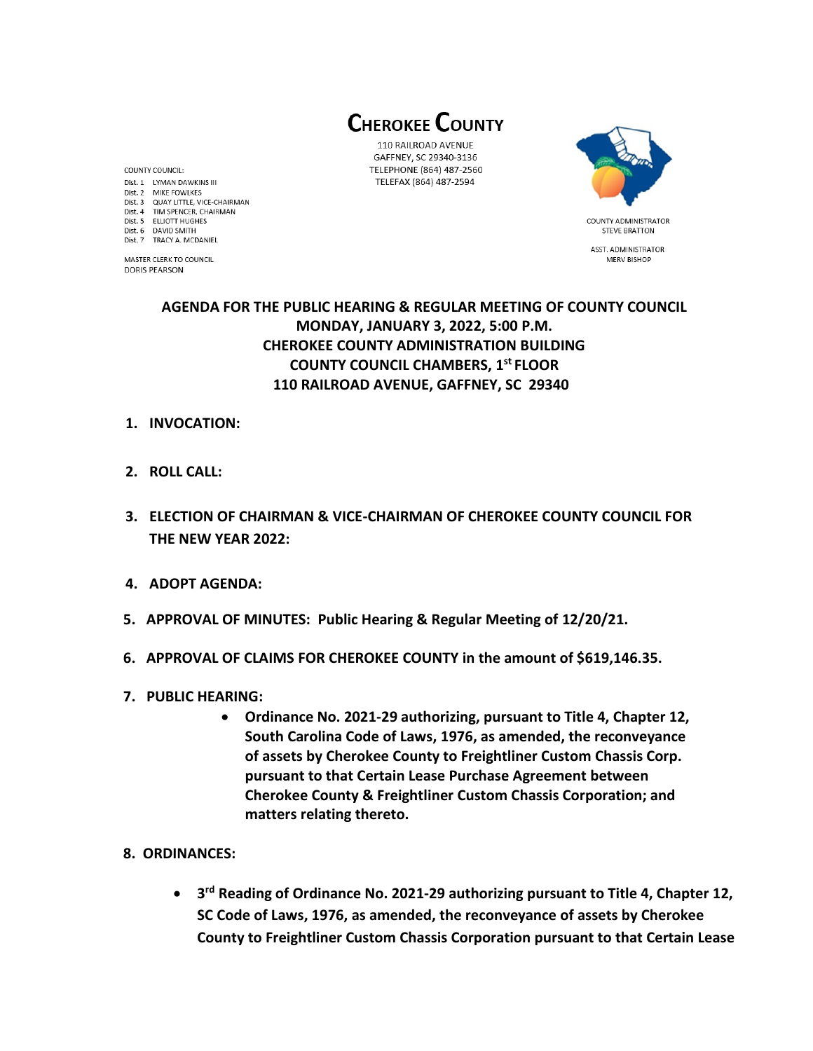**CHEROKEE COUNTY** 

110 RAILROAD AVENUE GAFFNEY, SC 29340-3136 TELEPHONE (864) 487-2560 TELEFAX (864) 487-2594



**STEVE BRATTON** ASST. ADMINISTRATOR MERV BISHOP

# **AGENDA FOR THE PUBLIC HEARING & REGULAR MEETING OF COUNTY COUNCIL MONDAY, JANUARY 3, 2022, 5:00 P.M. CHEROKEE COUNTY ADMINISTRATION BUILDING COUNTY COUNCIL CHAMBERS, 1 st FLOOR 110 RAILROAD AVENUE, GAFFNEY, SC 29340**

#### **1. INVOCATION:**

- **2. ROLL CALL:**
- **3. ELECTION OF CHAIRMAN & VICE-CHAIRMAN OF CHEROKEE COUNTY COUNCIL FOR THE NEW YEAR 2022:**
- **4. ADOPT AGENDA:**
- **5. APPROVAL OF MINUTES: Public Hearing & Regular Meeting of 12/20/21.**
- **6. APPROVAL OF CLAIMS FOR CHEROKEE COUNTY in the amount of \$619,146.35.**
- **7. PUBLIC HEARING:** 
	- **Ordinance No. 2021-29 authorizing, pursuant to Title 4, Chapter 12, South Carolina Code of Laws, 1976, as amended, the reconveyance of assets by Cherokee County to Freightliner Custom Chassis Corp. pursuant to that Certain Lease Purchase Agreement between Cherokee County & Freightliner Custom Chassis Corporation; and matters relating thereto.**
- **8. ORDINANCES:**
	- **3 rd Reading of Ordinance No. 2021-29 authorizing pursuant to Title 4, Chapter 12, SC Code of Laws, 1976, as amended, the reconveyance of assets by Cherokee County to Freightliner Custom Chassis Corporation pursuant to that Certain Lease**

COUNTY COUNCIL: Dist. 1 LYMAN DAWKINS III Dist. 2 MIKE FOWLKES Dist. 3 QUAY LITTLE, VICE-CHAIRMAN Dist. 4 TIM SPENCER, CHAIRMAN Dist. 5 ELLIOTT HUGHES Dist. 6 DAVID SMITH Dist. 7 TRACY A. MCDANIEL

MASTER CLERK TO COUNCIL **DORIS PEARSON**